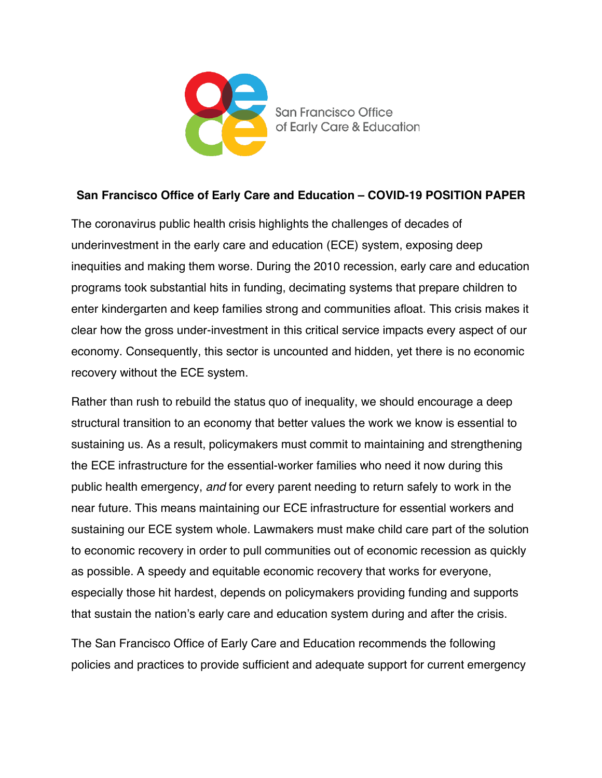

## **San Francisco Office of Early Care and Education – COVID-19 POSITION PAPER**

The coronavirus public health crisis highlights the challenges of decades of underinvestment in the early care and education (ECE) system, exposing deep inequities and making them worse. During the 2010 recession, early care and education programs took substantial hits in funding, decimating systems that prepare children to enter kindergarten and keep families strong and communities afloat. This crisis makes it clear how the gross under-investment in this critical service impacts every aspect of our economy. Consequently, this sector is uncounted and hidden, yet there is no economic recovery without the ECE system.

Rather than rush to rebuild the status quo of inequality, we should encourage a deep structural transition to an economy that better values the work we know is essential to sustaining us. As a result, policymakers must commit to maintaining and strengthening the ECE infrastructure for the essential-worker families who need it now during this public health emergency, *and* for every parent needing to return safely to work in the near future. This means maintaining our ECE infrastructure for essential workers and sustaining our ECE system whole. Lawmakers must make child care part of the solution to economic recovery in order to pull communities out of economic recession as quickly as possible. A speedy and equitable economic recovery that works for everyone, especially those hit hardest, depends on policymakers providing funding and supports that sustain the nation's early care and education system during and after the crisis.

The San Francisco Office of Early Care and Education recommends the following policies and practices to provide sufficient and adequate support for current emergency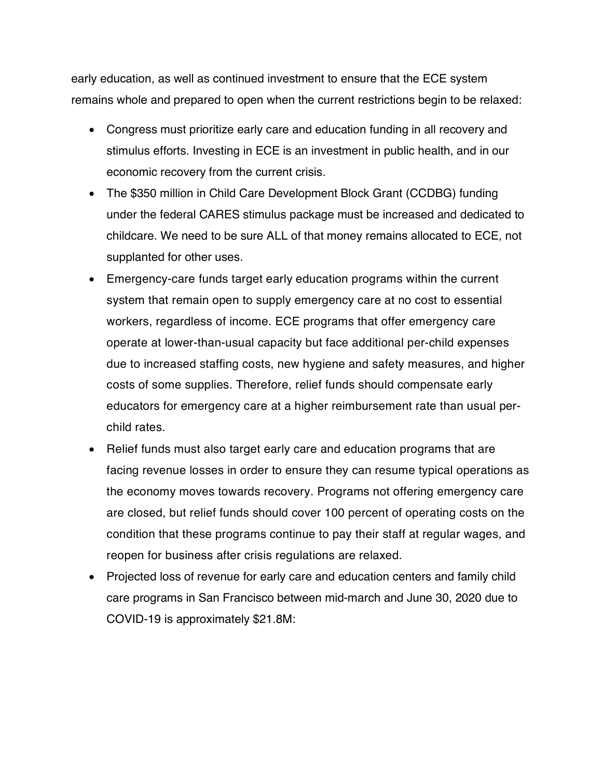early education, as well as continued investment to ensure that the ECE system remains whole and prepared to open when the current restrictions begin to be relaxed:

- Congress must prioritize early care and education funding in all recovery and stimulus efforts. Investing in ECE is an investment in public health, and in our economic recovery from the current crisis.
- The \$350 million in Child Care Development Block Grant (CCDBG) funding under the federal CARES stimulus package must be increased and dedicated to childcare. We need to be sure ALL of that money remains allocated to ECE, not supplanted for other uses.
- Emergency-care funds target early education programs within the current system that remain open to supply emergency care at no cost to essential workers, regardless of income. ECE programs that offer emergency care operate at lower-than-usual capacity but face additional per-child expenses due to increased staffing costs, new hygiene and safety measures, and higher costs of some supplies. Therefore, relief funds should compensate early educators for emergency care at a higher reimbursement rate than usual perchild rates.
- Relief funds must also target early care and education programs that are facing revenue losses in order to ensure they can resume typical operations as the economy moves towards recovery. Programs not offering emergency care are closed, but relief funds should cover 100 percent of operating costs on the condition that these programs continue to pay their staff at regular wages, and reopen for business after crisis regulations are relaxed.
- Projected loss of revenue for early care and education centers and family child care programs in San Francisco between mid-march and June 30, 2020 due to COVID-19 is approximately \$21.8M: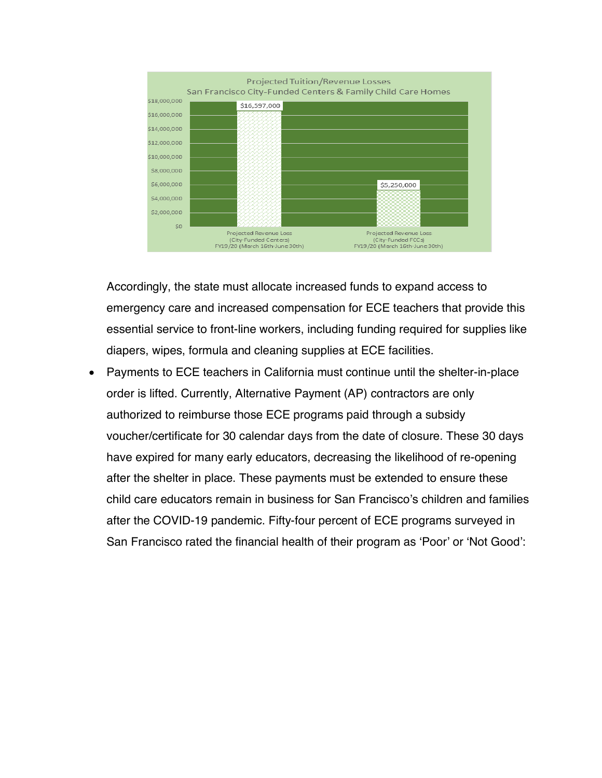

Accordingly, the state must allocate increased funds to expand access to emergency care and increased compensation for ECE teachers that provide this essential service to front-line workers, including funding required for supplies like diapers, wipes, formula and cleaning supplies at ECE facilities.

• Payments to ECE teachers in California must continue until the shelter-in-place order is lifted. Currently, Alternative Payment (AP) contractors are only authorized to reimburse those ECE programs paid through a subsidy voucher/certificate for 30 calendar days from the date of closure. These 30 days have expired for many early educators, decreasing the likelihood of re-opening after the shelter in place. These payments must be extended to ensure these child care educators remain in business for San Francisco's children and families after the COVID-19 pandemic. Fifty-four percent of ECE programs surveyed in San Francisco rated the financial health of their program as 'Poor' or 'Not Good':